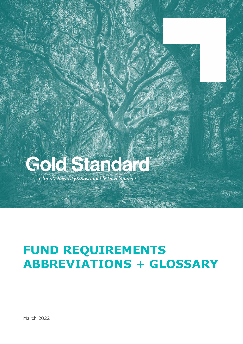## Gold Standard

Climate Security & Sustainable Development

## **FUND REQUIREMENTS ABBREVIATIONS + GLOSSARY**

March 2022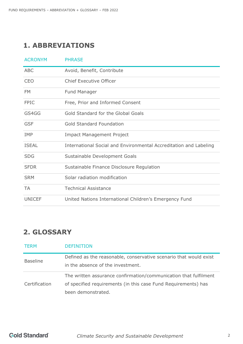## **1. ABBREVIATIONS**

| <b>ACRONYM</b> | <b>PHRASE</b>                                                     |
|----------------|-------------------------------------------------------------------|
| <b>ABC</b>     | Avoid, Benefit, Contribute                                        |
| <b>CEO</b>     | <b>Chief Executive Officer</b>                                    |
| <b>FM</b>      | <b>Fund Manager</b>                                               |
| <b>FPIC</b>    | Free, Prior and Informed Consent                                  |
| GS4GG          | Gold Standard for the Global Goals                                |
| <b>GSF</b>     | Gold Standard Foundation                                          |
| <b>IMP</b>     | <b>Impact Management Project</b>                                  |
| <b>ISEAL</b>   | International Social and Environmental Accreditation and Labeling |
| <b>SDG</b>     | Sustainable Development Goals                                     |
| <b>SFDR</b>    | Sustainable Finance Disclosure Regulation                         |
| <b>SRM</b>     | Solar radiation modification                                      |
| <b>TA</b>      | <b>Technical Assistance</b>                                       |
| <b>UNICEF</b>  | United Nations International Children's Emergency Fund            |

## **2. GLOSSARY**

| <b>TFRM</b>     | <b>DEFINITION</b>                                                                                                                                        |
|-----------------|----------------------------------------------------------------------------------------------------------------------------------------------------------|
| <b>Baseline</b> | Defined as the reasonable, conservative scenario that would exist<br>in the absence of the investment.                                                   |
| Certification   | The written assurance confirmation/communication that fulfilment<br>of specified requirements (in this case Fund Requirements) has<br>been demonstrated. |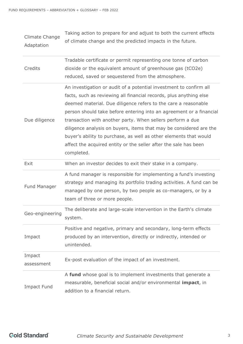| Climate Change<br>Adaptation | Taking action to prepare for and adjust to both the current effects<br>of climate change and the predicted impacts in the future.                                                                                                                                                                                                                                                                                                                                                                                                                                            |
|------------------------------|------------------------------------------------------------------------------------------------------------------------------------------------------------------------------------------------------------------------------------------------------------------------------------------------------------------------------------------------------------------------------------------------------------------------------------------------------------------------------------------------------------------------------------------------------------------------------|
| Credits                      | Tradable certificate or permit representing one tonne of carbon<br>dioxide or the equivalent amount of greenhouse gas (tCO2e)<br>reduced, saved or sequestered from the atmosphere.                                                                                                                                                                                                                                                                                                                                                                                          |
| Due diligence                | An investigation or audit of a potential investment to confirm all<br>facts, such as reviewing all financial records, plus anything else<br>deemed material. Due diligence refers to the care a reasonable<br>person should take before entering into an agreement or a financial<br>transaction with another party. When sellers perform a due<br>diligence analysis on buyers, items that may be considered are the<br>buyer's ability to purchase, as well as other elements that would<br>affect the acquired entity or the seller after the sale has been<br>completed. |
| Exit                         | When an investor decides to exit their stake in a company.                                                                                                                                                                                                                                                                                                                                                                                                                                                                                                                   |
| Fund Manager                 | A fund manager is responsible for implementing a fund's investing<br>strategy and managing its portfolio trading activities. A fund can be<br>managed by one person, by two people as co-managers, or by a<br>team of three or more people.                                                                                                                                                                                                                                                                                                                                  |
| Geo-engineering              | The deliberate and large-scale intervention in the Earth's climate<br>system.                                                                                                                                                                                                                                                                                                                                                                                                                                                                                                |
| Impact                       | Positive and negative, primary and secondary, long-term effects<br>produced by an intervention, directly or indirectly, intended or<br>unintended.                                                                                                                                                                                                                                                                                                                                                                                                                           |
| Impact<br>assessment         | Ex-post evaluation of the impact of an investment.                                                                                                                                                                                                                                                                                                                                                                                                                                                                                                                           |
| <b>Impact Fund</b>           | A fund whose goal is to implement investments that generate a<br>measurable, beneficial social and/or environmental <b>impact</b> , in<br>addition to a financial return.                                                                                                                                                                                                                                                                                                                                                                                                    |